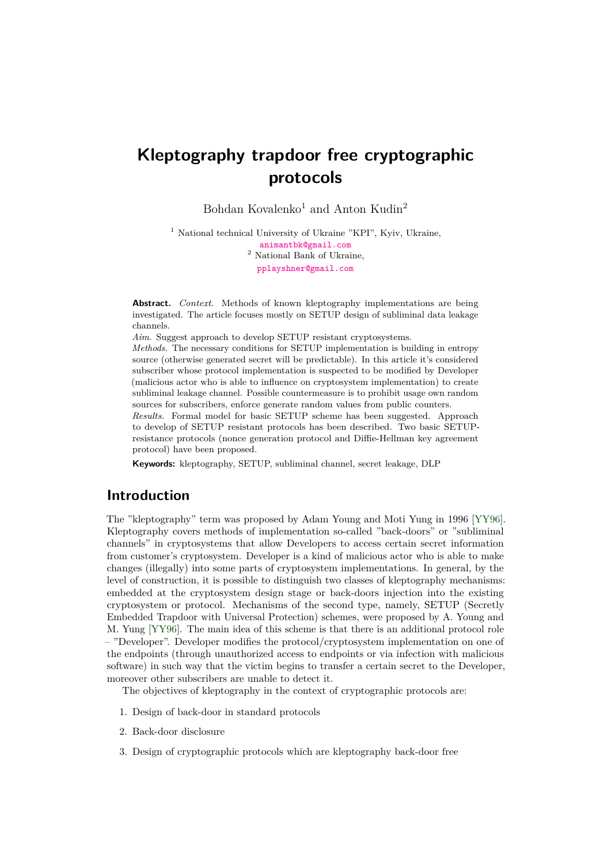# **Kleptography trapdoor free cryptographic protocols**

Bohdan Kovalenko<sup>1</sup> and Anton Kudin<sup>2</sup>

<sup>1</sup> National technical University of Ukraine "KPI", Kyiv, Ukraine, [animantbk@gmail.com](mailto:animantbk@gmail.com) <sup>2</sup> National Bank of Ukraine,

[pplayshner@gmail.com](mailto:pplayshner@gmail.com)

**Abstract.** *Context.* Methods of known kleptography implementations are being investigated. The article focuses mostly on SETUP design of subliminal data leakage channels.

*Aim.* Suggest approach to develop SETUP resistant cryptosystems.

*Methods.* The necessary conditions for SETUP implementation is building in entropy source (otherwise generated secret will be predictable). In this article it's considered subscriber whose protocol implementation is suspected to be modified by Developer (malicious actor who is able to influence on cryptosystem implementation) to create subliminal leakage channel. Possible countermeasure is to prohibit usage own random sources for subscribers, enforce generate random values from public counters.

*Results.* Formal model for basic SETUP scheme has been suggested. Approach to develop of SETUP resistant protocols has been described. Two basic SETUPresistance protocols (nonce generation protocol and Diffie-Hellman key agreement protocol) have been proposed.

**Keywords:** kleptography, SETUP, subliminal channel, secret leakage, DLP

### **Introduction**

The "kleptography" term was proposed by Adam Young and Moti Yung in 1996 [\[YY96\]](#page-12-0). Kleptography covers methods of implementation so-called "back-doors" or "subliminal channels" in cryptosystems that allow Developers to access certain secret information from customer's cryptosystem. Developer is a kind of malicious actor who is able to make changes (illegally) into some parts of cryptosystem implementations. In general, by the level of construction, it is possible to distinguish two classes of kleptography mechanisms: embedded at the cryptosystem design stage or back-doors injection into the existing cryptosystem or protocol. Mechanisms of the second type, namely, SETUP (Secretly Embedded Trapdoor with Universal Protection) schemes, were proposed by A. Young and M. Yung [\[YY96\]](#page-12-0). The main idea of this scheme is that there is an additional protocol role – "Developer". Developer modifies the protocol/cryptosystem implementation on one of the endpoints (through unauthorized access to endpoints or via infection with malicious software) in such way that the victim begins to transfer a certain secret to the Developer, moreover other subscribers are unable to detect it.

The objectives of kleptography in the context of cryptographic protocols are:

- 1. Design of back-door in standard protocols
- 2. Back-door disclosure
- 3. Design of cryptographic protocols which are kleptography back-door free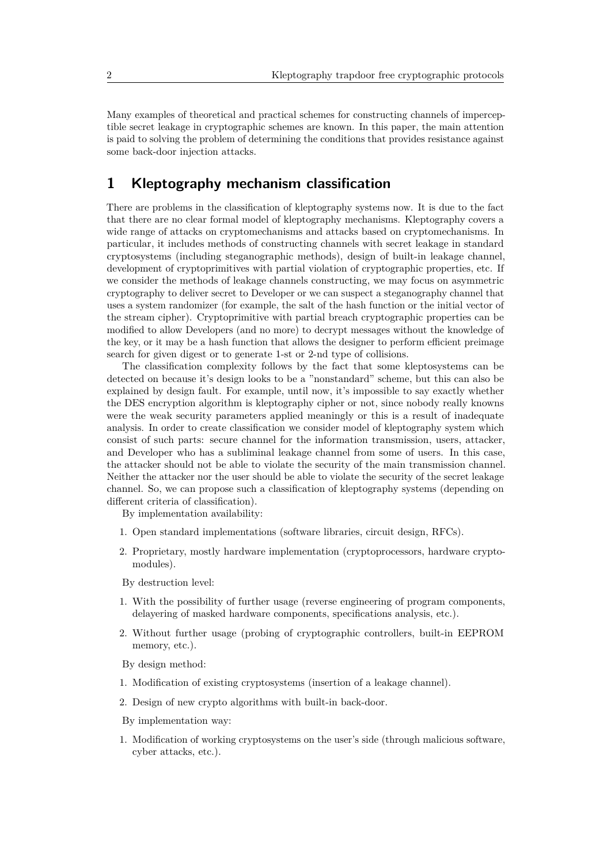Many examples of theoretical and practical schemes for constructing channels of imperceptible secret leakage in cryptographic schemes are known. In this paper, the main attention is paid to solving the problem of determining the conditions that provides resistance against some back-door injection attacks.

# **1 Kleptography mechanism classification**

There are problems in the classification of kleptography systems now. It is due to the fact that there are no clear formal model of kleptography mechanisms. Kleptography covers a wide range of attacks on cryptomechanisms and attacks based on cryptomechanisms. In particular, it includes methods of constructing channels with secret leakage in standard cryptosystems (including steganographic methods), design of built-in leakage channel, development of cryptoprimitives with partial violation of cryptographic properties, etc. If we consider the methods of leakage channels constructing, we may focus on asymmetric cryptography to deliver secret to Developer or we can suspect a steganography channel that uses a system randomizer (for example, the salt of the hash function or the initial vector of the stream cipher). Cryptoprimitive with partial breach cryptographic properties can be modified to allow Developers (and no more) to decrypt messages without the knowledge of the key, or it may be a hash function that allows the designer to perform efficient preimage search for given digest or to generate 1-st or 2-nd type of collisions.

The classification complexity follows by the fact that some kleptosystems can be detected on because it's design looks to be a "nonstandard" scheme, but this can also be explained by design fault. For example, until now, it's impossible to say exactly whether the DES encryption algorithm is kleptography cipher or not, since nobody really knowns were the weak security parameters applied meaningly or this is a result of inadequate analysis. In order to create classification we consider model of kleptography system which consist of such parts: secure channel for the information transmission, users, attacker, and Developer who has a subliminal leakage channel from some of users. In this case, the attacker should not be able to violate the security of the main transmission channel. Neither the attacker nor the user should be able to violate the security of the secret leakage channel. So, we can propose such a classification of kleptography systems (depending on different criteria of classification).

By implementation availability:

- 1. Open standard implementations (software libraries, circuit design, RFCs).
- 2. Proprietary, mostly hardware implementation (cryptoprocessors, hardware cryptomodules).

By destruction level:

- 1. With the possibility of further usage (reverse engineering of program components, delayering of masked hardware components, specifications analysis, etc.).
- 2. Without further usage (probing of cryptographic controllers, built-in EEPROM memory, etc.).
- By design method:
- 1. Modification of existing cryptosystems (insertion of a leakage channel).
- 2. Design of new crypto algorithms with built-in back-door.

By implementation way:

1. Modification of working cryptosystems on the user's side (through malicious software, cyber attacks, etc.).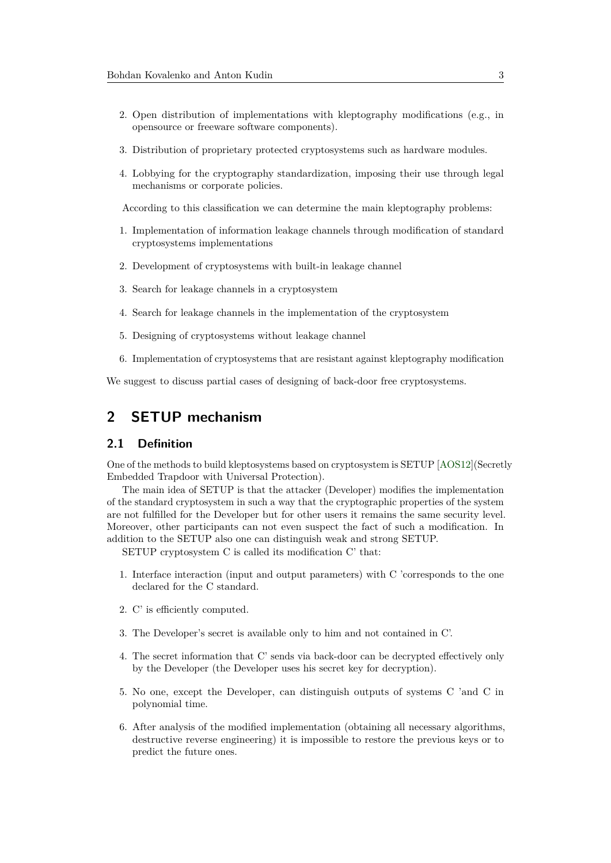- 2. Open distribution of implementations with kleptography modifications (e.g., in opensource or freeware software components).
- 3. Distribution of proprietary protected cryptosystems such as hardware modules.
- 4. Lobbying for the cryptography standardization, imposing their use through legal mechanisms or corporate policies.

According to this classification we can determine the main kleptography problems:

- 1. Implementation of information leakage channels through modification of standard cryptosystems implementations
- 2. Development of cryptosystems with built-in leakage channel
- 3. Search for leakage channels in a cryptosystem
- 4. Search for leakage channels in the implementation of the cryptosystem
- 5. Designing of cryptosystems without leakage channel
- 6. Implementation of cryptosystems that are resistant against kleptography modification

We suggest to discuss partial cases of designing of back-door free cryptosystems.

## **2 SETUP mechanism**

### <span id="page-2-0"></span>**2.1 Definition**

One of the methods to build kleptosystems based on cryptosystem is SETUP [\[AOS12\]](#page-12-1)(Secretly Embedded Trapdoor with Universal Protection).

The main idea of SETUP is that the attacker (Developer) modifies the implementation of the standard cryptosystem in such a way that the cryptographic properties of the system are not fulfilled for the Developer but for other users it remains the same security level. Moreover, other participants can not even suspect the fact of such a modification. In addition to the SETUP also one can distinguish weak and strong SETUP.

SETUP cryptosystem C is called its modification C' that:

- 1. Interface interaction (input and output parameters) with C 'corresponds to the one declared for the C standard.
- 2. C' is efficiently computed.
- 3. The Developer's secret is available only to him and not contained in C'.
- 4. The secret information that C' sends via back-door can be decrypted effectively only by the Developer (the Developer uses his secret key for decryption).
- 5. No one, except the Developer, can distinguish outputs of systems C 'and C in polynomial time.
- 6. After analysis of the modified implementation (obtaining all necessary algorithms, destructive reverse engineering) it is impossible to restore the previous keys or to predict the future ones.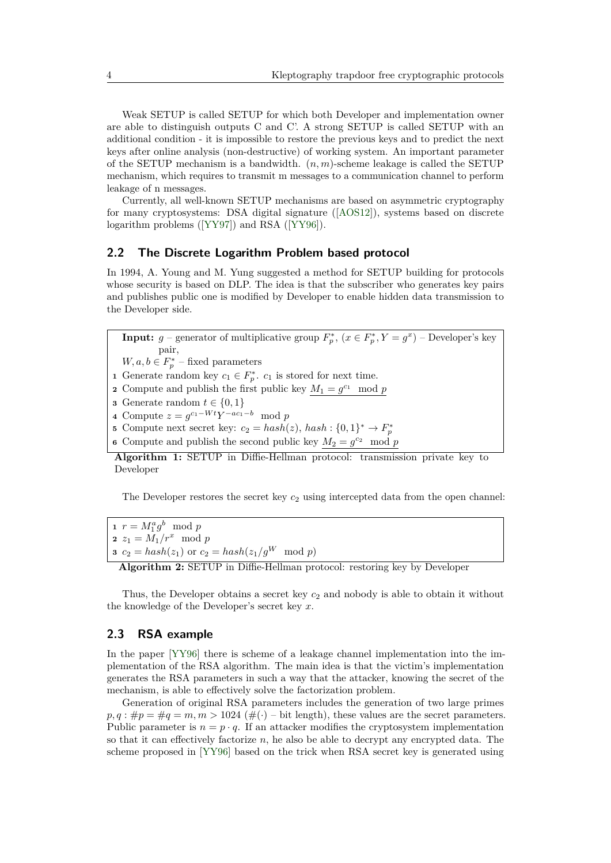Weak SETUP is called SETUP for which both Developer and implementation owner are able to distinguish outputs C and C'. A strong SETUP is called SETUP with an additional condition - it is impossible to restore the previous keys and to predict the next keys after online analysis (non-destructive) of working system. An important parameter of the SETUP mechanism is a bandwidth. (*n, m*)-scheme leakage is called the SETUP mechanism, which requires to transmit m messages to a communication channel to perform leakage of n messages.

Currently, all well-known SETUP mechanisms are based on asymmetric cryptography for many cryptosystems: DSA digital signature ([\[AOS12\]](#page-12-1)), systems based on discrete logarithm problems ([\[YY97\]](#page-12-2)) and RSA ([\[YY96\]](#page-12-0)).

### **2.2 The Discrete Logarithm Problem based protocol**

In 1994, A. Young and M. Yung suggested a method for SETUP building for protocols whose security is based on DLP. The idea is that the subscriber who generates key pairs and publishes public one is modified by Developer to enable hidden data transmission to the Developer side.

**Input:**  $g$  – generator of multiplicative group  $F_p^*$ ,  $(x \in F_p^*, Y = g^x)$  – Developer's key pair,

- $W, a, b \in F_p^*$  fixed parameters
- **1** Generate random key  $c_1 \in F_p^*$ .  $c_1$  is stored for next time.
- **2** Compute and publish the first public key  $M_1 = g^{c_1} \mod p$
- **3** Generate random  $t \in \{0, 1\}$
- **4** Compute  $z = g^{c_1 Wt}Y^{-ac_1-b}$  mod *p* **5** Compute next secret key:  $c_2 = hash(z)$ ,  $hash: \{0, 1\}^* \rightarrow F_p^*$
- **6** Compute and publish the second public key  $M_2 = g^{c_2} \mod p$

**Algorithm 1:** SETUP in Diffie-Hellman protocol: transmission private key to Developer

The Developer restores the secret key  $c_2$  using intercepted data from the open channel:

**1**  $r = M_1^a g^b \mod p$ **2**  $z_1 = M_1/r^x \mod p$ **3**  $c_2 = hash(z_1)$  or  $c_2 = hash(z_1/g^W \mod p)$ 

**Algorithm 2:** SETUP in Diffie-Hellman protocol: restoring key by Developer

Thus, the Developer obtains a secret key *c*<sup>2</sup> and nobody is able to obtain it without the knowledge of the Developer's secret key *x*.

#### **2.3 RSA example**

In the paper [\[YY96\]](#page-12-0) there is scheme of a leakage channel implementation into the implementation of the RSA algorithm. The main idea is that the victim's implementation generates the RSA parameters in such a way that the attacker, knowing the secret of the mechanism, is able to effectively solve the factorization problem.

Generation of original RSA parameters includes the generation of two large primes  $p, q$ :  $\#p = \#q = m, m > 1024$  ( $\#(\cdot)$  – bit length), these values are the secret parameters. Public parameter is  $n = p \cdot q$ . If an attacker modifies the cryptosystem implementation so that it can effectively factorize *n*, he also be able to decrypt any encrypted data. The scheme proposed in [\[YY96\]](#page-12-0) based on the trick when RSA secret key is generated using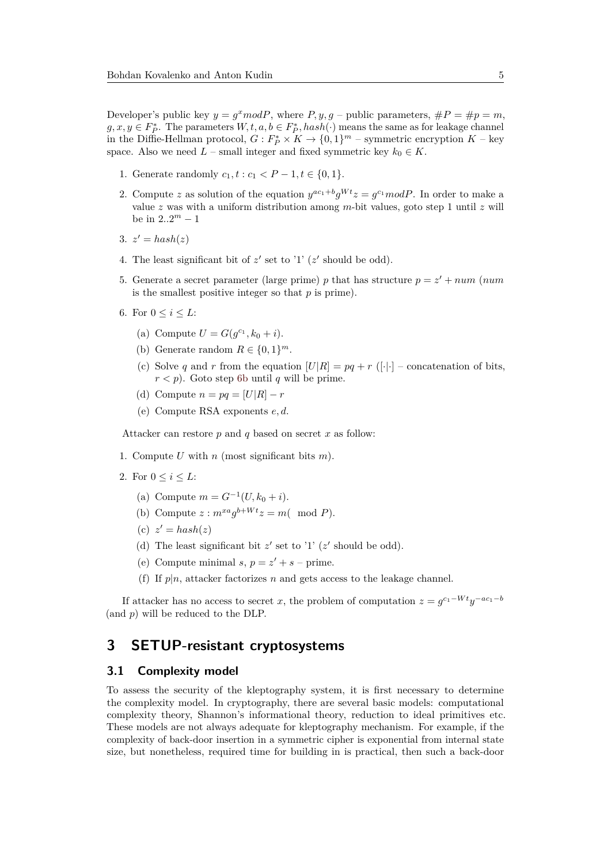Developer's public key  $y = g^x mod P$ , where  $P, y, g$  – public parameters,  $\#P = \#p = m$ ,  $g, x, y \in F_P^*$ . The parameters  $W, t, a, b \in F_P^*$ ,  $hash(\cdot)$  means the same as for leakage channel in the Diffie-Hellman protocol,  $G: F_P^* \times K \to \{0,1\}^m$  – symmetric encryption  $K$  – key space. Also we need  $L$  – small integer and fixed symmetric key  $k_0 \in K$ .

- 1. Generate randomly  $c_1, t : c_1 < P 1, t \in \{0, 1\}.$
- 2. Compute *z* as solution of the equation  $y^{ac_1+b}g^{Wt}z = g^{c_1}modP$ . In order to make a value *z* was with a uniform distribution among *m*-bit values, goto step 1 until *z* will be in  $2 \cdot 2^m - 1$
- 3.  $z' = hash(z)$
- 4. The least significant bit of  $z'$  set to '1'  $(z'$  should be odd).
- 5. Generate a secret parameter (large prime) *p* that has structure  $p = z' + num$  (*num*) is the smallest positive integer so that *p* is prime).
- <span id="page-4-0"></span>6. For  $0 \leq i \leq L$ :
	- (a) Compute  $U = G(g^{c_1}, k_0 + i)$ .
	- (b) Generate random  $R \in \{0,1\}^m$ .
	- (c) Solve *q* and *r* from the equation  $|U|R| = pq + r$  ([·|·] concatenation of bits,  $r < p$ ). Goto step [6b](#page-4-0) until *q* will be prime.
	- (d) Compute  $n = pq = [U|R] r$
	- (e) Compute RSA exponents *e, d*.

Attacker can restore *p* and *q* based on secret *x* as follow:

- 1. Compute *U* with *n* (most significant bits *m*).
- 2. For  $0 \leq i \leq L$ :
	- (a) Compute  $m = G^{-1}(U, k_0 + i)$ .
	- (b) Compute  $z : m^{xa}g^{b+Wt}z = m \text{ (mod } P)$ .
	- (c)  $z' = hash(z)$
	- (d) The least significant bit  $z'$  set to '1' ( $z'$  should be odd).
	- (e) Compute minimal *s*,  $p = z' + s$  prime.
	- (f) If  $p|n$ , attacker factorizes  $n$  and gets access to the leakage channel.

If attacker has no access to secret *x*, the problem of computation  $z = g^{c_1 - Wt}y^{-ac_1 - b}$ (and *p*) will be reduced to the DLP.

# **3 SETUP-resistant cryptosystems**

#### **3.1 Complexity model**

To assess the security of the kleptography system, it is first necessary to determine the complexity model. In cryptography, there are several basic models: computational complexity theory, Shannon's informational theory, reduction to ideal primitives etc. These models are not always adequate for kleptography mechanism. For example, if the complexity of back-door insertion in a symmetric cipher is exponential from internal state size, but nonetheless, required time for building in is practical, then such a back-door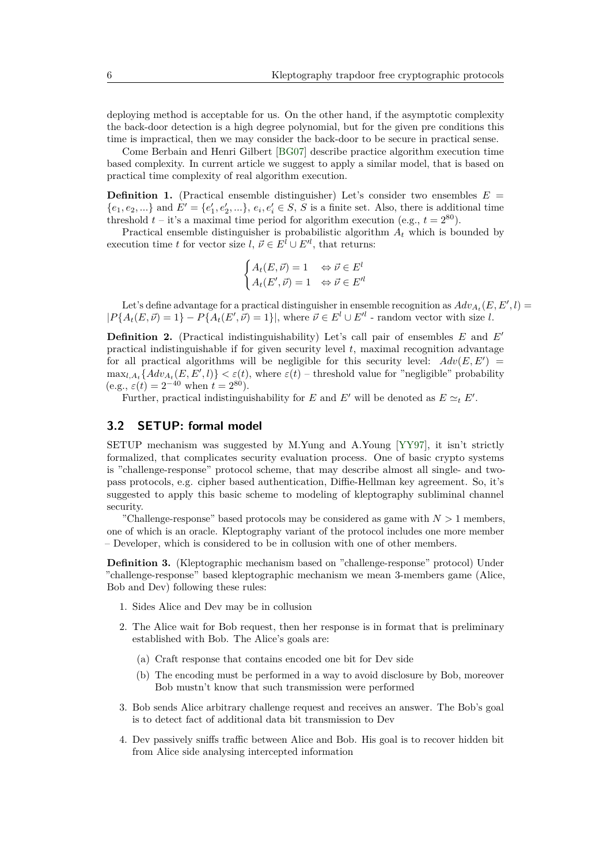deploying method is acceptable for us. On the other hand, if the asymptotic complexity the back-door detection is a high degree polynomial, but for the given pre conditions this time is impractical, then we may consider the back-door to be secure in practical sense.

Come Berbain and Henri Gilbert [\[BG07\]](#page-12-3) describe practice algorithm execution time based complexity. In current article we suggest to apply a similar model, that is based on practical time complexity of real algorithm execution.

**Definition 1.** (Practical ensemble distinguisher) Let's consider two ensembles  $E =$  ${e_1, e_2, ...}$  and  $E' = {e'_1, e'_2, ...}, e_i, e'_i \in S, S$  is a finite set. Also, there is additional time threshold  $t$  – it's a maximal time period for algorithm execution (e.g.,  $t = 2^{80}$ ).

Practical ensemble distinguisher is probabilistic algorithm *A<sup>t</sup>* which is bounded by execution time *t* for vector size  $l, \, \vec{\nu} \in E^l \cup E'^l$ , that returns:

$$
\begin{cases} A_t(E, \vec{\nu}) = 1 & \Leftrightarrow \vec{\nu} \in E^l \\ A_t(E', \vec{\nu}) = 1 & \Leftrightarrow \vec{\nu} \in E'^l \end{cases}
$$

Let's define advantage for a practical distinguisher in ensemble recognition as  $Adv_{A_t}(E, E', l)$  $|P{A_t(E, \vec{\nu}) = 1} - P{A_t(E', \vec{\nu}) = 1}|$ , where  $\vec{\nu} \in E^l \cup E'^l$  - random vector with size *l*.

**Definition 2.** (Practical indistinguishability) Let's call pair of ensembles *E* and *E*<sup>0</sup> practical indistinguishable if for given security level *t*, maximal recognition advantage for all practical algorithms will be negligible for this security level:  $Adv(E, E')$  $\max_{l,A_t} \{Adv_{A_t}(E, E', l)\} < \varepsilon(t)$ , where  $\varepsilon(t)$  – threshold value for "negligible" probability  $(e.g., \varepsilon(t) = 2^{-40}$  when  $t = 2^{80}$ ).

Further, practical indistinguishability for *E* and *E'* will be denoted as  $E \simeq_t E'$ .

### **3.2 SETUP: formal model**

SETUP mechanism was suggested by M.Yung and A.Young [\[YY97\]](#page-12-2), it isn't strictly formalized, that complicates security evaluation process. One of basic crypto systems is "challenge-response" protocol scheme, that may describe almost all single- and twopass protocols, e.g. cipher based authentication, Diffie-Hellman key agreement. So, it's suggested to apply this basic scheme to modeling of kleptography subliminal channel security.

"Challenge-response" based protocols may be considered as game with *N >* 1 members, one of which is an oracle. Kleptography variant of the protocol includes one more member – Developer, which is considered to be in collusion with one of other members.

**Definition 3.** (Kleptographic mechanism based on "challenge-response" protocol) Under "challenge-response" based kleptographic mechanism we mean 3-members game (Alice, Bob and Dev) following these rules:

- 1. Sides Alice and Dev may be in collusion
- 2. The Alice wait for Bob request, then her response is in format that is preliminary established with Bob. The Alice's goals are:
	- (a) Craft response that contains encoded one bit for Dev side
	- (b) The encoding must be performed in a way to avoid disclosure by Bob, moreover Bob mustn't know that such transmission were performed
- 3. Bob sends Alice arbitrary challenge request and receives an answer. The Bob's goal is to detect fact of additional data bit transmission to Dev
- 4. Dev passively sniffs traffic between Alice and Bob. His goal is to recover hidden bit from Alice side analysing intercepted information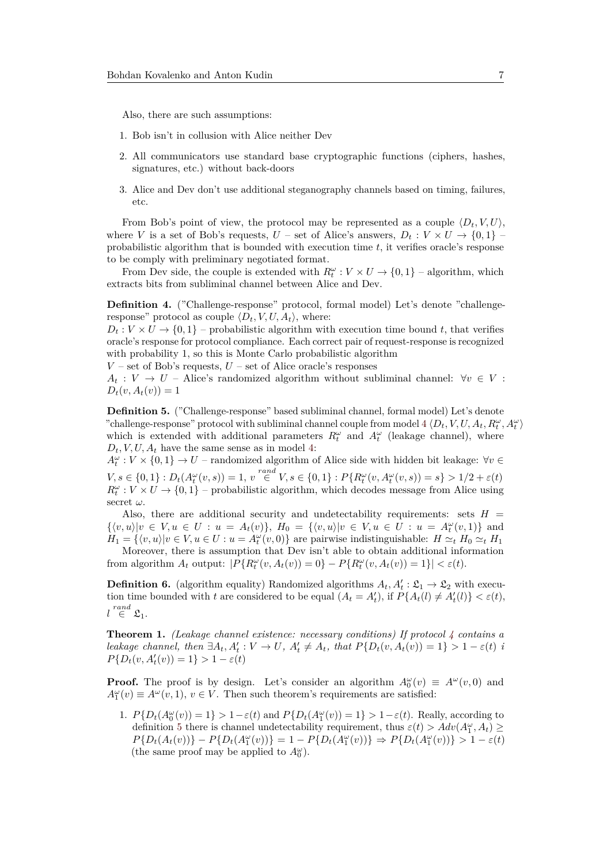Also, there are such assumptions:

- 1. Bob isn't in collusion with Alice neither Dev
- 2. All communicators use standard base cryptographic functions (ciphers, hashes, signatures, etc.) without back-doors
- 3. Alice and Dev don't use additional steganography channels based on timing, failures, etc.

From Bob's point of view, the protocol may be represented as a couple  $\langle D_t, V, U \rangle$ , where *V* is a set of Bob's requests,  $U$  – set of Alice's answers,  $D_t: V \times U \rightarrow \{0,1\}$ probabilistic algorithm that is bounded with execution time *t*, it verifies oracle's response to be comply with preliminary negotiated format.

From Dev side, the couple is extended with  $R_t^{\omega}: V \times U \rightarrow \{0,1\}$  – algorithm, which extracts bits from subliminal channel between Alice and Dev.

<span id="page-6-0"></span>**Definition 4.** ("Challenge-response" protocol, formal model) Let's denote "challengeresponse" protocol as couple  $\langle D_t, V, U, A_t \rangle$ , where:

 $D_t: V \times U \rightarrow \{0,1\}$  – probabilistic algorithm with execution time bound t, that verifies oracle's response for protocol compliance. Each correct pair of request-response is recognized with probability 1, so this is Monte Carlo probabilistic algorithm

 $V$  – set of Bob's requests,  $U$  – set of Alice oracle's responses

 $A_t: V \to U$  – Alice's randomized algorithm without subliminal channel:  $\forall v \in V$ :  $D_t(v, A_t(v)) = 1$ 

<span id="page-6-1"></span>**Definition 5.** ("Challenge-response" based subliminal channel, formal model) Let's denote "challenge-response" protocol with subliminal channel couple from model [4](#page-6-0)  $\langle D_t, V, U, A_t, R_t^{\omega}, A_t^{\omega} \rangle$ which is extended with additional parameters  $R_t^{\omega}$  and  $A_t^{\omega}$  (leakage channel), where  $D_t$ , *V*, *U*,  $A_t$  have the same sense as in model [4:](#page-6-0)

 $A_t^{\omega}: V \times \{0,1\} \rightarrow U$  – randomized algorithm of Alice side with hidden bit leakage: ∀*v* ∈  $V, s \in \{0, 1\} : D_t(A_t^{\omega}(v, s)) = 1, v \stackrel{rand}{\in} V, s \in \{0, 1\} : P\{R_t^{\omega}(v, A_t^{\omega}(v, s)) = s\} > 1/2 + \varepsilon(t)$  $R_t^{\omega}: V \times U \rightarrow \{0, 1\}$  – probabilistic algorithm, which decodes message from Alice using secret *ω*.

Also, there are additional security and undetectability requirements: sets  $H =$  $\{\langle v, u \rangle | v \in V, u \in U : u = A_t(v)\}, H_0 = \{\langle v, u \rangle | v \in V, u \in U : u = A_t^{\omega}(v, 1)\}$  and  $H_1 = \{ \langle v, u \rangle | v \in V, u \in U : u = A_t^{\omega}(v, 0) \}$  are pairwise indistinguishable:  $H \simeq_t H_0 \simeq_t H_1$ 

Moreover, there is assumption that Dev isn't able to obtain additional information from algorithm  $A_t$  output:  $|P\{R_t^{\omega}(v, A_t(v)) = 0\} - P\{R_t^{\omega}(v, A_t(v)) = 1\}| < \varepsilon(t)$ .

<span id="page-6-2"></span>**Definition 6.** (algorithm equality) Randomized algorithms  $A_t$ ,  $A'_t$  :  $\mathfrak{L}_1 \to \mathfrak{L}_2$  with execution time bounded with *t* are considered to be equal  $(A_t = A'_t)$ , if  $P\{A_t(l) \neq A'_t(l)\} < \varepsilon(t)$ ,  $l \stackrel{rand}{\in} \mathfrak{L}_1.$ 

<span id="page-6-3"></span>**Theorem 1.** *(Leakage channel existence: necessary conditions) If protocol [4](#page-6-0) contains a* leakage channel, then  $\exists A_t, A'_t : V \to U$ ,  $A'_t \neq A_t$ , that  $P\{D_t(v, A_t(v)) = 1\} > 1 - \varepsilon(t)$  $P\{D_t(v, A'_t(v)) = 1\} > 1 - \varepsilon(t)$ 

**Proof.** The proof is by design. Let's consider an algorithm  $A_0^{\omega}(v) \equiv A^{\omega}(v,0)$  and  $A_1^{\omega}(v) \equiv A^{\omega}(v,1), v \in V$ . Then such theorem's requirements are satisfied:

1.  $P\{D_t(A_0^{\omega}(v)) = 1\} > 1 - \varepsilon(t)$  and  $P\{D_t(A_1^{\omega}(v)) = 1\} > 1 - \varepsilon(t)$ . Really, according to definition [5](#page-6-1) there is channel undetectability requirement, thus  $\varepsilon(t) > Adv(A_1^{\omega}, A_t) \ge$  $P\{D_t(A_t(v))\} - P\{D_t(A_1^{\omega}(v))\} = 1 - P\{D_t(A_1^{\omega}(v))\} \Rightarrow P\{D_t(A_1^{\omega}(v))\} > 1 - \varepsilon(t)$ (the same proof may be applied to  $A_0^{\omega}$ ).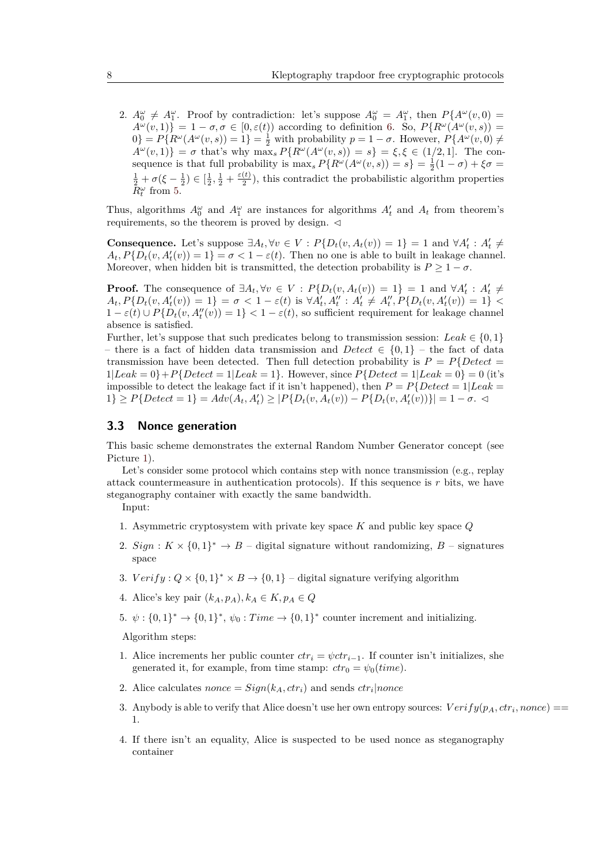2.  $A_0^{\omega} \neq A_1^{\omega}$ . Proof by contradiction: let's suppose  $A_0^{\omega} = A_1^{\omega}$ , then  $P\{A^{\omega}(v,0) =$  $A^{\omega}(v,1)$ } = 1 –  $\sigma, \sigma \in [0,\varepsilon(t))$  according to definition [6.](#page-6-2) So,  $P\{R^{\omega}(A^{\omega}(v,s)) =$  $0$ } =  $P\{R^{\omega}(A^{\omega}(v,s))=1\}$  =  $\frac{1}{2}$  with probability  $p=1-\sigma$ . However,  $P\{A^{\omega}(v,0)\neq\sigma\}$  $A^{\omega}(v,1)$ } = *σ* that's why max<sub>*s*</sub>  $P\{R^{\omega}(A^{\omega}(v,s)) = s\} = \xi, \xi \in (1/2,1].$  The consequence is that full probability is  $\max_{s} P\{R^{\omega}(A^{\omega}(v, s)) = s\} = \frac{1}{2}(1 - \sigma) + \xi \sigma =$  $\frac{1}{2} + \sigma(\xi - \frac{1}{2}) \in [\frac{1}{2}, \frac{1}{2} + \frac{\varepsilon(t)}{2})$ , this contradict the probabilistic algor  $\frac{1}{2}$ ), this contradict the probabilistic algorithm properties  $\bar{R}^{\omega}_t$  from [5.](#page-6-1)

Thus, algorithms  $A_0^{\omega}$  and  $A_1^{\omega}$  are instances for algorithms  $A_t$  and  $A_t$  from theorem's requirements, so the theorem is proved by design.  $\triangleleft$ 

**Consequence.** Let's suppose  $\exists A_t, \forall v \in V : P\{D_t(v, A_t(v)) = 1\} = 1$  and  $\forall A'_t : A'_t \neq$  $A_t$ ,  $P\{D_t(v, A'_t(v)) = 1\} = \sigma < 1 - \varepsilon(t)$ . Then no one is able to built in leakage channel. Moreover, when hidden bit is transmitted, the detection probability is  $P \geq 1 - \sigma$ .

**Proof.** The consequence of  $\exists A_t, \forall v \in V : P\{D_t(v, A_t(v)) = 1\} = 1$  and  $\forall A'_t : A'_t \neq$  $A_t, P\{D_t(v, A'_t(v)) = 1\} = \sigma < 1 - \varepsilon(t)$  is  $\forall A'_t, A''_t : A'_t \neq A''_t, P\{D_t(v, A'_t(v)) = 1\}$  $1 - \varepsilon(t) \cup P\{D_t(v, A_t''(v)) = 1\} < 1 - \varepsilon(t)$ , so sufficient requirement for leakage channel absence is satisfied.

Further, let's suppose that such predicates belong to transmission session: *Leak*  $\in \{0, 1\}$ – there is a fact of hidden data transmission and *Detect* ∈ {0*,* 1} – the fact of data transmission have been detected. Then full detection probability is  $P = P\{Detect =$  $1|Leak = 0\} + P\{Detect = 1|Leak = 1\}$ . However, since  $P\{Detect = 1|Leak = 0\} = 0$  (it's impossible to detect the leakage fact if it isn't happened), then  $P = P\{Detect = 1 | Least =$  $1\} \ge P\{Detect = 1\} = Adv(A_t, A'_t) \ge |P\{D_t(v, A_t(v)) - P\{D_t(v, A'_t(v))\}| = 1 - \sigma.$ 

### <span id="page-7-0"></span>**3.3 Nonce generation**

This basic scheme demonstrates the external Random Number Generator concept (see Picture [1\)](#page-8-0).

Let's consider some protocol which contains step with nonce transmission (e.g., replay attack countermeasure in authentication protocols). If this sequence is *r* bits, we have steganography container with exactly the same bandwidth.

Input:

- 1. Asymmetric cryptosystem with private key space *K* and public key space *Q*
- 2. *Sign* :  $K \times \{0,1\}^* \rightarrow B$  digital signature without randomizing,  $B$  signatures space
- 3.  $Verify: Q \times \{0,1\}^* \times B \rightarrow \{0,1\}$  digital signature verifying algorithm
- 4. Alice's key pair  $(k_A, p_A), k_A \in K, p_A \in Q$
- 5.  $\psi: \{0,1\}^* \to \{0,1\}^*, \psi_0: Time \to \{0,1\}^*$  counter increment and initializing.

Algorithm steps:

- 1. Alice increments her public counter  $ctr_i = \psi ctr_{i-1}$ . If counter isn't initializes, she generated it, for example, from time stamp:  $ctr_0 = \psi_0 (time)$ .
- 2. Alice calculates *nonce* =  $Sign(k_A, ctr_i)$  and sends  $ctr_i|$  *nonce*
- 3. Anybody is able to verify that Alice doesn't use her own entropy sources:  $Verify(p_A,ctr_i,none) =$ 1.
- 4. If there isn't an equality, Alice is suspected to be used nonce as steganography container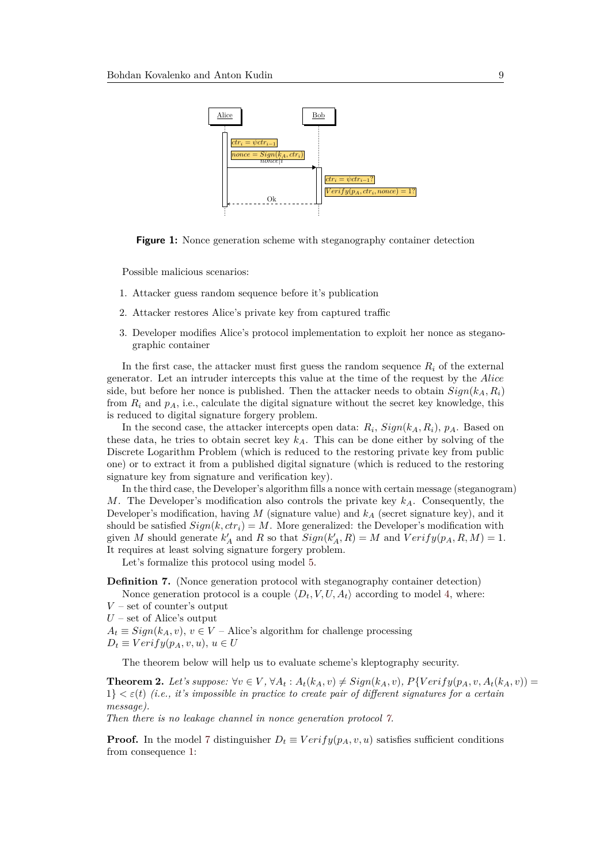<span id="page-8-0"></span>

**Figure 1:** Nonce generation scheme with steganography container detection

Possible malicious scenarios:

- 1. Attacker guess random sequence before it's publication
- 2. Attacker restores Alice's private key from captured traffic
- 3. Developer modifies Alice's protocol implementation to exploit her nonce as steganographic container

In the first case, the attacker must first guess the random sequence  $R_i$  of the external generator. Let an intruder intercepts this value at the time of the request by the *Alice* side, but before her nonce is published. Then the attacker needs to obtain  $Sign(k_A, R_i)$ from  $R_i$  and  $p_A$ , i.e., calculate the digital signature without the secret key knowledge, this is reduced to digital signature forgery problem.

In the second case, the attacker intercepts open data:  $R_i$ ,  $Sign(k_A, R_i)$ ,  $p_A$ . Based on these data, he tries to obtain secret key  $k_A$ . This can be done either by solving of the Discrete Logarithm Problem (which is reduced to the restoring private key from public one) or to extract it from a published digital signature (which is reduced to the restoring signature key from signature and verification key).

In the third case, the Developer's algorithm fills a nonce with certain message (steganogram) *M*. The Developer's modification also controls the private key *kA*. Consequently, the Developer's modification, having *M* (signature value) and *k<sup>A</sup>* (secret signature key), and it should be satisfied  $Sign(k, ctr_i) = M$ . More generalized: the Developer's modification with given *M* should generate  $k'_A$  and *R* so that  $Sign(k'_A, R) = M$  and  $Verify(p_A, R, M) = 1$ . It requires at least solving signature forgery problem.

Let's formalize this protocol using model [5.](#page-6-1)

<span id="page-8-1"></span>**Definition 7.** (Nonce generation protocol with steganography container detection)

Nonce generation protocol is a couple  $\langle D_t, V, U, A_t \rangle$  according to model [4,](#page-6-0) where: *V* – set of counter's output

*U* – set of Alice's output

 $A_t \equiv Sign(k_A, v)$ ,  $v \in V$  – Alice's algorithm for challenge processing

 $D_t \equiv Verify(p_A, v, u), u \in U$ 

The theorem below will help us to evaluate scheme's kleptography security.

<span id="page-8-2"></span>**Theorem 2.** Let's suppose:  $\forall v \in V$ ,  $\forall A_t : A_t(k_A, v) \neq Sign(k_A, v)$ ,  $P\{Verify(p_A, v, A_t(k_A, v)) =$  $1\}<\epsilon(t)$  *(i.e., it's impossible in practice to create pair of different signatures for a certain message).*

*Then there is no leakage channel in nonce generation protocol [7.](#page-8-1)*

**Proof.** In the model [7](#page-8-1) distinguisher  $D_t \equiv Verify(p_A, v, u)$  satisfies sufficient conditions from consequence [1:](#page-6-3)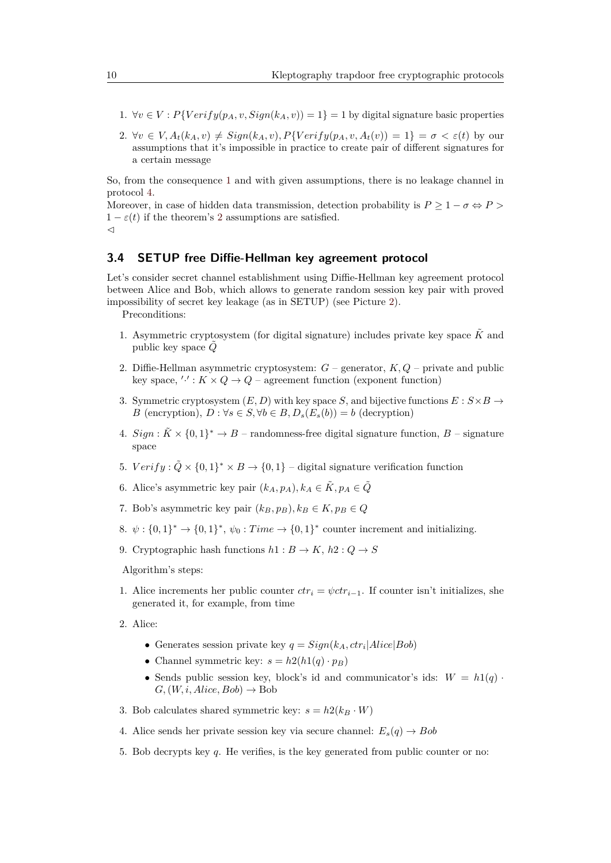- 1.  $\forall v \in V : P\{Verify(p_A, v, Sign(k_A, v)) = 1\} = 1$  by digital signature basic properties
- 2.  $\forall v \in V, A_t(k_A, v) \neq Sign(k_A, v), P\{Verify(p_A, v, A_t(v)) = 1\} = \sigma \lt \varepsilon(t)$  by our assumptions that it's impossible in practice to create pair of different signatures for a certain message

So, from the consequence [1](#page-6-3) and with given assumptions, there is no leakage channel in protocol [4.](#page-6-0)

Moreover, in case of hidden data transmission, detection probability is  $P \geq 1 - \sigma \Leftrightarrow P >$  $1 - \varepsilon(t)$  if the theorem's [2](#page-8-2) assumptions are satisfied.  $\triangleleft$ 

### **3.4 SETUP free Diffie-Hellman key agreement protocol**

Let's consider secret channel establishment using Diffie-Hellman key agreement protocol between Alice and Bob, which allows to generate random session key pair with proved impossibility of secret key leakage (as in SETUP) (see Picture [2\)](#page-10-0). Preconditions:

- 1. Asymmetric cryptosystem (for digital signature) includes private key space  $\tilde{K}$  and public key space *Q*˜
- 2. Diffie-Hellman asymmetric cryptosystem: *G* generator, *K, Q* private and public key space,  $' \cdot' : K \times Q \to Q$  – agreement function (exponent function)
- 3. Symmetric cryptosystem  $(E, D)$  with key space *S*, and bijective functions  $E: S \times B \rightarrow$ *B* (encryption),  $D : \forall s \in S, \forall b \in B, D_s(E_s(b)) = b$  (decryption)
- 4.  $Sign: \tilde{K} \times \{0,1\}^* \to B$  randomness-free digital signature function,  $B$  signature space
- 5.  $Verify: \tilde{Q} \times \{0,1\}^* \times B \rightarrow \{0,1\}$  digital signature verification function
- 6. Alice's asymmetric key pair  $(k_A, p_A), k_A \in \tilde{K}, p_A \in \tilde{Q}$
- 7. Bob's asymmetric key pair  $(k_B, p_B)$ ,  $k_B \in K$ ,  $p_B \in Q$
- 8.  $\psi: \{0,1\}^* \to \{0,1\}^*$ ,  $\psi_0: Time \to \{0,1\}^*$  counter increment and initializing.
- 9. Cryptographic hash functions  $h1: B \to K$ ,  $h2: Q \to S$

Algorithm's steps:

- 1. Alice increments her public counter  $ctr_i = \psi ctr_{i-1}$ . If counter isn't initializes, she generated it, for example, from time
- 2. Alice:
	- Generates session private key  $q = Sign(k_A, ctr_i|Alice|Bob)$
	- Channel symmetric key:  $s = h2(h1(q) \cdot p_B)$
	- Sends public session key, block's id and communicator's ids:  $W = h1(q)$ .  $G$ ,  $(W, i, Alice, Bob) \rightarrow Bob$
- 3. Bob calculates shared symmetric key:  $s = h2(k_B \cdot W)$
- 4. Alice sends her private session key via secure channel:  $E_s(q) \rightarrow Bob$
- 5. Bob decrypts key *q*. He verifies, is the key generated from public counter or no: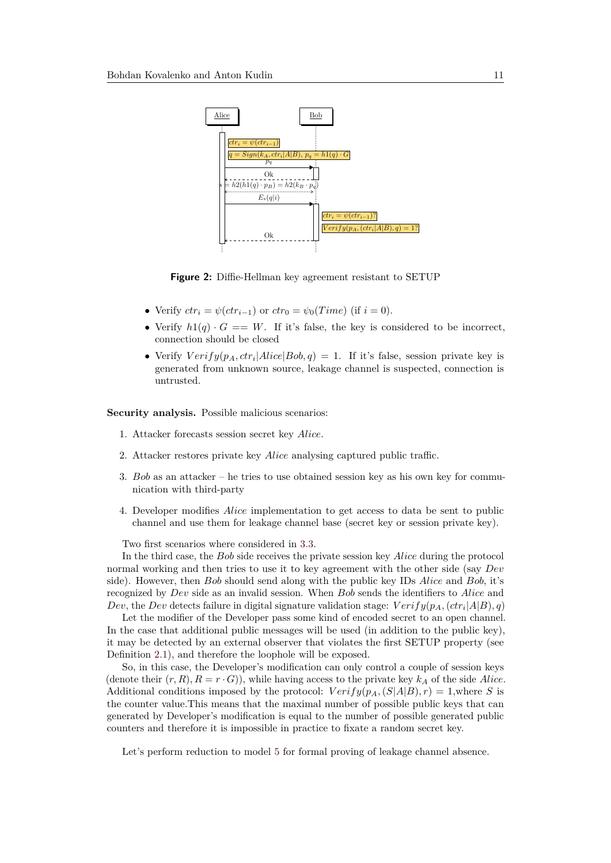<span id="page-10-0"></span>

**Figure 2:** Diffie-Hellman key agreement resistant to SETUP

- Verify  $ctr_i = \psi (ctr_{i-1})$  or  $ctr_0 = \psi_0 (Time)$  (if  $i = 0$ ).
- Verify  $h1(q) \cdot G == W$ . If it's false, the key is considered to be incorrect, connection should be closed
- Verify  $Verify(p_A, ctr_i|Alice|Bob, q) = 1$ . If it's false, session private key is generated from unknown source, leakage channel is suspected, connection is untrusted.

**Security analysis.** Possible malicious scenarios:

- 1. Attacker forecasts session secret key *Alice*.
- 2. Attacker restores private key *Alice* analysing captured public traffic.
- 3. *Bob* as an attacker he tries to use obtained session key as his own key for communication with third-party
- 4. Developer modifies *Alice* implementation to get access to data be sent to public channel and use them for leakage channel base (secret key or session private key).

Two first scenarios where considered in [3.3.](#page-7-0)

In the third case, the *Bob* side receives the private session key *Alice* during the protocol normal working and then tries to use it to key agreement with the other side (say *Dev* side). However, then *Bob* should send along with the public key IDs *Alice* and *Bob*, it's recognized by *Dev* side as an invalid session. When *Bob* sends the identifiers to *Alice* and *Dev*, the *Dev* detects failure in digital signature validation stage:  $Verify(p_A, (ctr_i|A|B), q)$ 

Let the modifier of the Developer pass some kind of encoded secret to an open channel. In the case that additional public messages will be used (in addition to the public key), it may be detected by an external observer that violates the first SETUP property (see Definition [2.1\)](#page-2-0), and therefore the loophole will be exposed.

So, in this case, the Developer's modification can only control a couple of session keys (denote their  $(r, R), R = r \cdot G$ ), while having access to the private key  $k_A$  of the side *Alice*. Additional conditions imposed by the protocol:  $Verify(p_A, (S|A|B), r) = 1$ , where *S* is the counter value.This means that the maximal number of possible public keys that can generated by Developer's modification is equal to the number of possible generated public counters and therefore it is impossible in practice to fixate a random secret key.

Let's perform reduction to model [5](#page-6-1) for formal proving of leakage channel absence.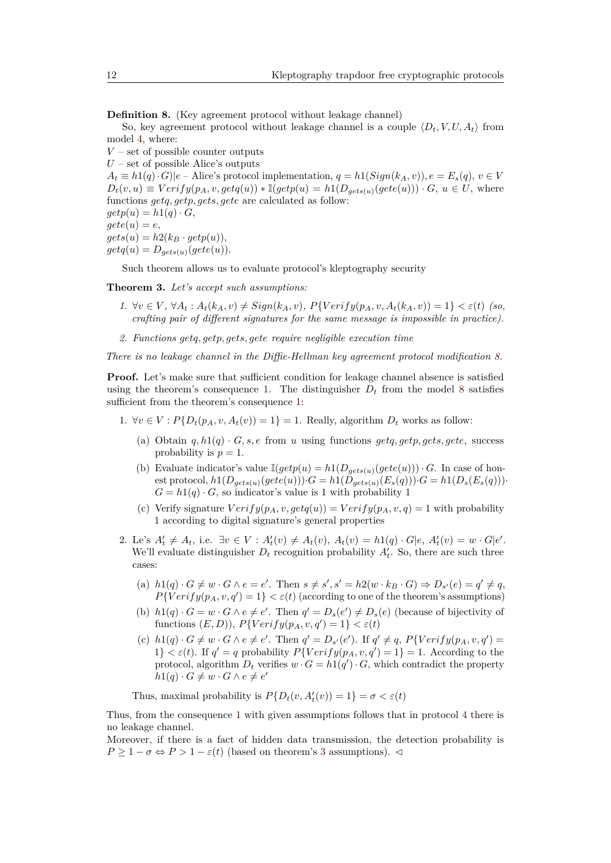<span id="page-11-0"></span>**Definition 8.** (Key agreement protocol without leakage channel)

So, key agreement protocol without leakage channel is a couple  $\langle D_t, V, U, A_t \rangle$  from model [4,](#page-6-0) where:

*V* – set of possible counter outputs  $U$  – set of possible Alice's outputs  $A_t \equiv h(1(q) \cdot G)|e$  – Alice's protocol implementation,  $q = h( \text{Sign}(k_A, v))$ ,  $e = E_s(q)$ ,  $v \in V$  $D_t(v, u) \equiv Verify(p_A, v, getq(u)) * \mathbb{I}(getp(u) = h1(D_{gets}(u)(gete(u))) \cdot G, u \in U$ , where functions *getq, getp, gets, gete* are calculated as follow:  $getp(u) = h1(q) \cdot G$ ,  $gete(u) = e$ ,  $gets(u) = h2(k_B \cdot getp(u)),$  $getq(u) = D_{aets(u)}(gete(u)).$ 

Such theorem allows us to evaluate protocol's kleptography security

<span id="page-11-1"></span>**Theorem 3.** *Let's accept such assumptions:*

- 1.  $\forall v \in V, \forall A_t : A_t(k_A, v) \neq Sign(k_A, v), P\{Verify(p_A, v, A_t(k_A, v)) = 1\} < \varepsilon(t)$  (so, *crafting pair of different signatures for the same message is impossible in practice).*
- *2. Functions getq, getp, gets, gete require negligible execution time*

*There is no leakage channel in the Diffie-Hellman key agreement protocol modification [8.](#page-11-0)*

**Proof.** Let's make sure that sufficient condition for leakage channel absence is satisfied using the theorem's consequence [1.](#page-6-3) The distinguisher  $D_t$  from the model [8](#page-11-0) satisfies sufficient from the theorem's consequence [1:](#page-6-3)

- 1.  $\forall v \in V : P\{D_t(p_A, v, A_t(v)) = 1\} = 1$ . Really, algorithm  $D_t$  works as follow:
	- (a) Obtain  $q, h1(q) \cdot G$ ,  $s, e$  from  $u$  using functions  $getq, getp, gets, gete$ , success probability is  $p = 1$ .
	- (b) Evaluate indicator's value  $\mathbb{I}(getp(u) = h1(D_{qets(u)}(gete(u))) \cdot G$ . In case of honest protocol,  $h1(D_{gets(u)}(gete(u)))\cdot G = h1(D_{gets(u)}(E_s(q)))\cdot G = h1(D_s(E_s(q)))\cdot G$  $G = h1(q) \cdot G$ , so indicator's value is 1 with probability 1
	- (c) Verify signature  $Verify(p_A, v, getq(u)) = Verify(p_A, v, q) = 1$  with probability 1 according to digital signature's general properties
- 2. Le's  $A'_t \neq A_t$ , i.e.  $\exists v \in V : A'_t(v) \neq A_t(v)$ ,  $A_t(v) = h1(q) \cdot G|e$ ,  $A'_t(v) = w \cdot G|e'.$ We'll evaluate distinguisher  $D_t$  recognition probability  $A'_t$ . So, there are such three cases:
	- (a)  $h1(q) \cdot G \neq w \cdot G \wedge e = e'$ . Then  $s \neq s', s' = h2(w \cdot k_B \cdot G) \Rightarrow D_{s'}(e) = q' \neq q$ ,  $P\{Verify(p_A, v, q') = 1\} < \varepsilon(t)$  (according to one of the theorem's assumptions)
	- (b)  $h1(q) \cdot G = w \cdot G \wedge e \neq e'$ . Then  $q' = D_s(e') \neq D_s(e)$  (because of bijectivity of functions  $(E, D)$ ),  $P\{Verify(p_A, v, q') = 1\} < \varepsilon(t)$
	- (c)  $h1(q) \cdot G \neq w \cdot G \wedge e \neq e'$ . Then  $q' = D_{s'}(e')$ . If  $q' \neq q$ ,  $P\{Verify(p_A, v, q') =$ 1}  $\langle \varepsilon(\tau) \rangle$ . If  $q' = q$  probability  $P\{Verify(p_A, v, q') = 1\} = 1$ . According to the protocol, algorithm  $D_t$  verifies  $w \cdot G = h(1(q') \cdot G$ , which contradict the property  $h1(q) \cdot G \neq w \cdot G \wedge e \neq e'$

Thus, maximal probability is  $P\{D_t(v, A'_t(v)) = 1\} = \sigma < \varepsilon(t)$ 

Thus, from the consequence [1](#page-6-3) with given assumptions follows that in protocol [4](#page-6-0) there is no leakage channel.

Moreover, if there is a fact of hidden data transmission, the detection probability is  $P \geq 1 - \sigma \Leftrightarrow P > 1 - \varepsilon(t)$  (based on theorem's [3](#page-11-1) assumptions).  $\lhd$